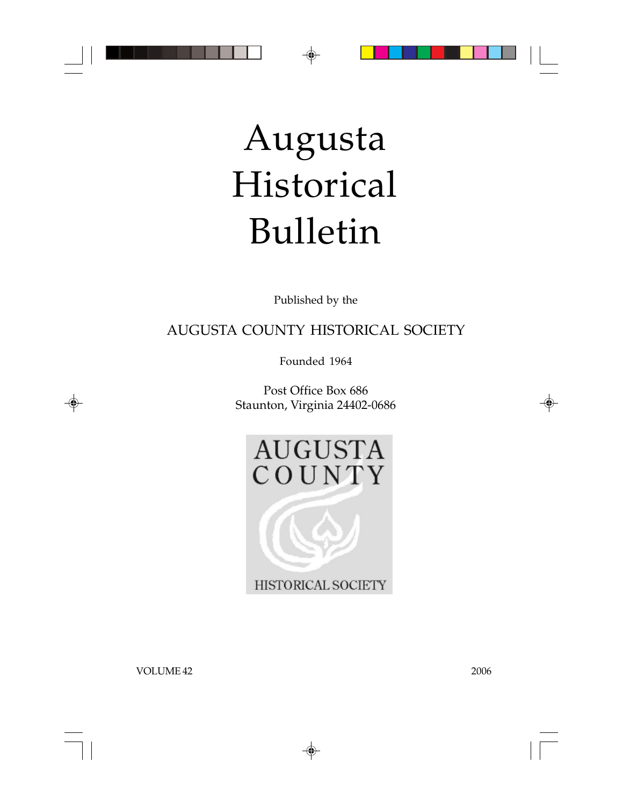

# Augusta Historical Bulletin

Published by the

AUGUSTA COUNTY HISTORICAL SOCIETY

Founded 1964

Post Office Box 686 Staunton, Virginia 24402-0686



HISTORICAL SOCIETY

◈

VOLUME 42 2006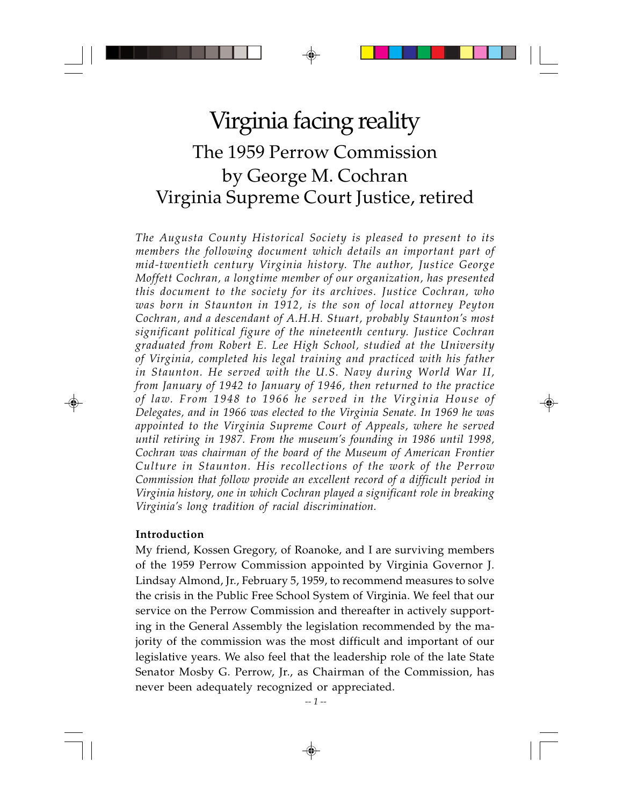## Virginia facing reality The 1959 Perrow Commission by George M. Cochran Virginia Supreme Court Justice, retired

*The Augusta County Historical Society is pleased to present to its members the following document which details an important part of mid-twentieth century Virginia history. The author, Justice George Moffett Cochran, a longtime member of our organization, has presented this document to the society for its archives. Justice Cochran, who was born in Staunton in 1912, is the son of local attorney Peyton Cochran, and a descendant of A.H.H. Stuart, probably Staunton's most significant political figure of the nineteenth century. Justice Cochran graduated from Robert E. Lee High School, studied at the University of Virginia, completed his legal training and practiced with his father in Staunton. He served with the U.S. Navy during World War II, from January of 1942 to January of 1946, then returned to the practice of law. From 1948 to 1966 he served in the Virginia House of Delegates, and in 1966 was elected to the Virginia Senate. In 1969 he was appointed to the Virginia Supreme Court of Appeals, where he served until retiring in 1987. From the museum's founding in 1986 until 1998, Cochran was chairman of the board of the Museum of American Frontier Culture in Staunton. His recollections of the work of the Perrow Commission that follow provide an excellent record of a difficult period in Virginia history, one in which Cochran played a significant role in breaking Virginia's long tradition of racial discrimination.*

#### **Introduction**

My friend, Kossen Gregory, of Roanoke, and I are surviving members of the 1959 Perrow Commission appointed by Virginia Governor J. Lindsay Almond, Jr., February 5, 1959, to recommend measures to solve the crisis in the Public Free School System of Virginia. We feel that our service on the Perrow Commission and thereafter in actively supporting in the General Assembly the legislation recommended by the majority of the commission was the most difficult and important of our legislative years. We also feel that the leadership role of the late State Senator Mosby G. Perrow, Jr., as Chairman of the Commission, has never been adequately recognized or appreciated.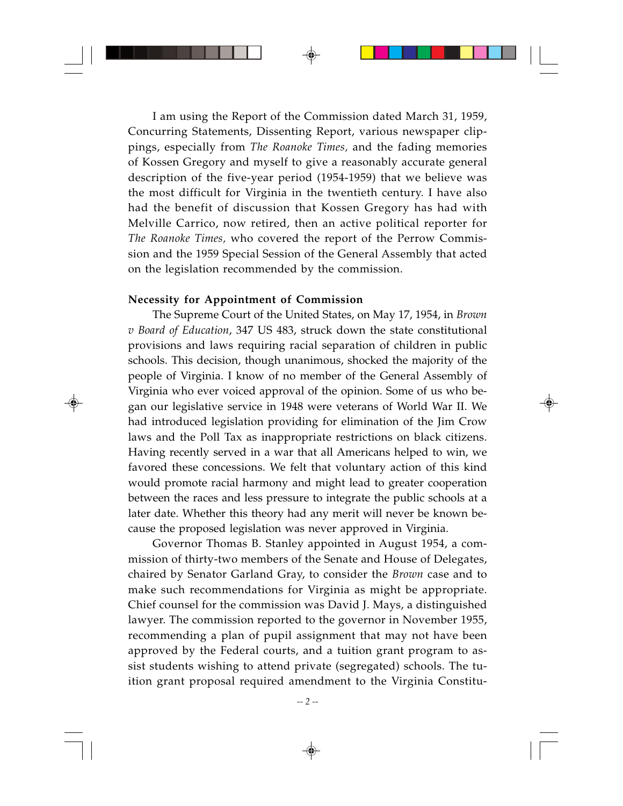I am using the Report of the Commission dated March 31, 1959, Concurring Statements, Dissenting Report, various newspaper clippings, especially from *The Roanoke Times,* and the fading memories of Kossen Gregory and myself to give a reasonably accurate general description of the five-year period (1954-1959) that we believe was the most difficult for Virginia in the twentieth century. I have also had the benefit of discussion that Kossen Gregory has had with Melville Carrico, now retired, then an active political reporter for *The Roanoke Times,* who covered the report of the Perrow Commission and the 1959 Special Session of the General Assembly that acted on the legislation recommended by the commission.

#### **Necessity for Appointment of Commission**

The Supreme Court of the United States, on May 17, 1954, in *Brown v Board of Education*, 347 US 483, struck down the state constitutional provisions and laws requiring racial separation of children in public schools. This decision, though unanimous, shocked the majority of the people of Virginia. I know of no member of the General Assembly of Virginia who ever voiced approval of the opinion. Some of us who began our legislative service in 1948 were veterans of World War II. We had introduced legislation providing for elimination of the Jim Crow laws and the Poll Tax as inappropriate restrictions on black citizens. Having recently served in a war that all Americans helped to win, we favored these concessions. We felt that voluntary action of this kind would promote racial harmony and might lead to greater cooperation between the races and less pressure to integrate the public schools at a later date. Whether this theory had any merit will never be known because the proposed legislation was never approved in Virginia.

Governor Thomas B. Stanley appointed in August 1954, a commission of thirty-two members of the Senate and House of Delegates, chaired by Senator Garland Gray, to consider the *Brown* case and to make such recommendations for Virginia as might be appropriate. Chief counsel for the commission was David J. Mays, a distinguished lawyer. The commission reported to the governor in November 1955, recommending a plan of pupil assignment that may not have been approved by the Federal courts, and a tuition grant program to assist students wishing to attend private (segregated) schools. The tuition grant proposal required amendment to the Virginia Constitu-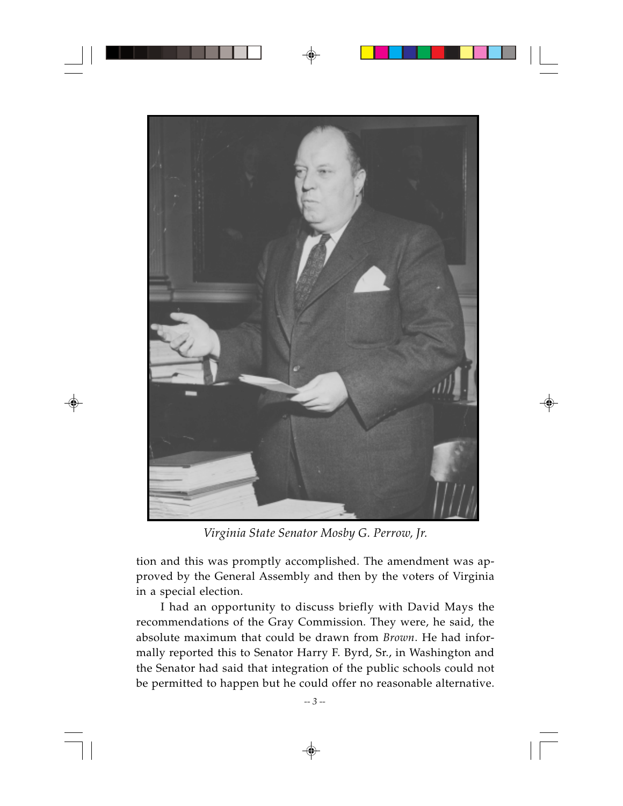

*Virginia State Senator Mosby G. Perrow, Jr.*

tion and this was promptly accomplished. The amendment was approved by the General Assembly and then by the voters of Virginia in a special election.

I had an opportunity to discuss briefly with David Mays the recommendations of the Gray Commission. They were, he said, the absolute maximum that could be drawn from *Brown*. He had informally reported this to Senator Harry F. Byrd, Sr., in Washington and the Senator had said that integration of the public schools could not be permitted to happen but he could offer no reasonable alternative.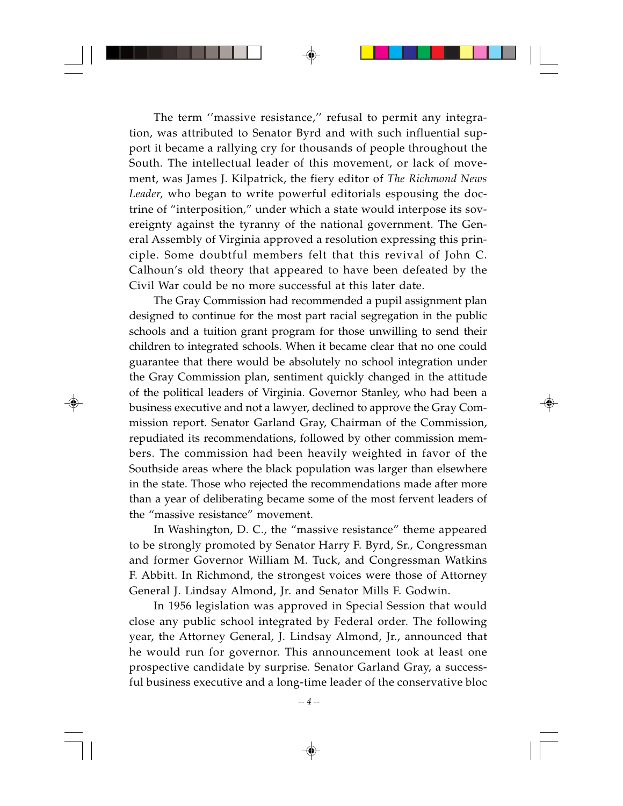The term ''massive resistance,'' refusal to permit any integration, was attributed to Senator Byrd and with such influential support it became a rallying cry for thousands of people throughout the South. The intellectual leader of this movement, or lack of movement, was James J. Kilpatrick, the fiery editor of *The Richmond News Leader,* who began to write powerful editorials espousing the doctrine of "interposition," under which a state would interpose its sovereignty against the tyranny of the national government. The General Assembly of Virginia approved a resolution expressing this principle. Some doubtful members felt that this revival of John C. Calhoun's old theory that appeared to have been defeated by the Civil War could be no more successful at this later date.

The Gray Commission had recommended a pupil assignment plan designed to continue for the most part racial segregation in the public schools and a tuition grant program for those unwilling to send their children to integrated schools. When it became clear that no one could guarantee that there would be absolutely no school integration under the Gray Commission plan, sentiment quickly changed in the attitude of the political leaders of Virginia. Governor Stanley, who had been a business executive and not a lawyer, declined to approve the Gray Commission report. Senator Garland Gray, Chairman of the Commission, repudiated its recommendations, followed by other commission members. The commission had been heavily weighted in favor of the Southside areas where the black population was larger than elsewhere in the state. Those who rejected the recommendations made after more than a year of deliberating became some of the most fervent leaders of the "massive resistance" movement.

In Washington, D. C., the "massive resistance" theme appeared to be strongly promoted by Senator Harry F. Byrd, Sr., Congressman and former Governor William M. Tuck, and Congressman Watkins F. Abbitt. In Richmond, the strongest voices were those of Attorney General J. Lindsay Almond, Jr. and Senator Mills F. Godwin.

In 1956 legislation was approved in Special Session that would close any public school integrated by Federal order. The following year, the Attorney General, J. Lindsay Almond, Jr., announced that he would run for governor. This announcement took at least one prospective candidate by surprise. Senator Garland Gray, a successful business executive and a long-time leader of the conservative bloc

*-- 4 --*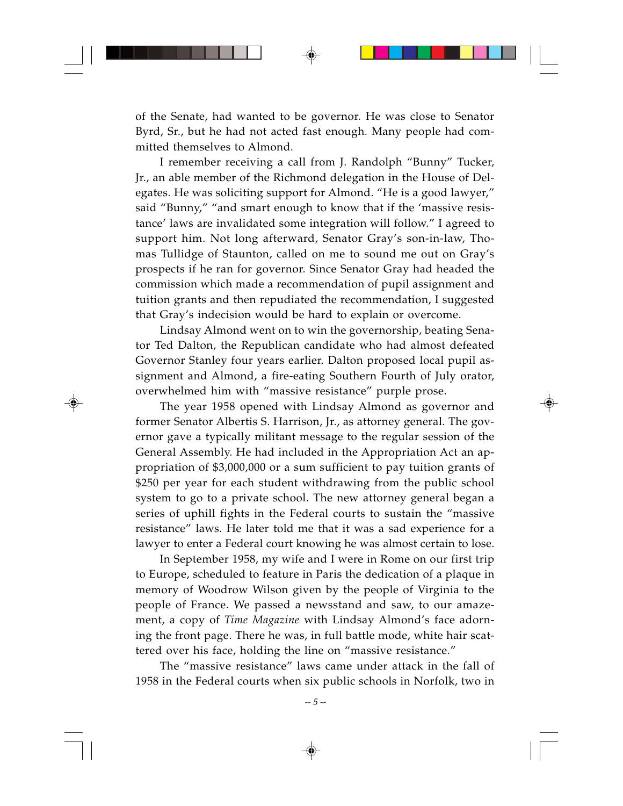of the Senate, had wanted to be governor. He was close to Senator Byrd, Sr., but he had not acted fast enough. Many people had committed themselves to Almond.

I remember receiving a call from J. Randolph "Bunny" Tucker, Jr., an able member of the Richmond delegation in the House of Delegates. He was soliciting support for Almond. "He is a good lawyer," said "Bunny," "and smart enough to know that if the 'massive resistance' laws are invalidated some integration will follow." I agreed to support him. Not long afterward, Senator Gray's son-in-law, Thomas Tullidge of Staunton, called on me to sound me out on Gray's prospects if he ran for governor. Since Senator Gray had headed the commission which made a recommendation of pupil assignment and tuition grants and then repudiated the recommendation, I suggested that Gray's indecision would be hard to explain or overcome.

Lindsay Almond went on to win the governorship, beating Senator Ted Dalton, the Republican candidate who had almost defeated Governor Stanley four years earlier. Dalton proposed local pupil assignment and Almond, a fire-eating Southern Fourth of July orator, overwhelmed him with "massive resistance" purple prose.

The year 1958 opened with Lindsay Almond as governor and former Senator Albertis S. Harrison, Jr., as attorney general. The governor gave a typically militant message to the regular session of the General Assembly. He had included in the Appropriation Act an appropriation of \$3,000,000 or a sum sufficient to pay tuition grants of \$250 per year for each student withdrawing from the public school system to go to a private school. The new attorney general began a series of uphill fights in the Federal courts to sustain the "massive resistance" laws. He later told me that it was a sad experience for a lawyer to enter a Federal court knowing he was almost certain to lose.

In September 1958, my wife and I were in Rome on our first trip to Europe, scheduled to feature in Paris the dedication of a plaque in memory of Woodrow Wilson given by the people of Virginia to the people of France. We passed a newsstand and saw, to our amazement, a copy of *Time Magazine* with Lindsay Almond's face adorning the front page. There he was, in full battle mode, white hair scattered over his face, holding the line on "massive resistance."

The "massive resistance" laws came under attack in the fall of 1958 in the Federal courts when six public schools in Norfolk, two in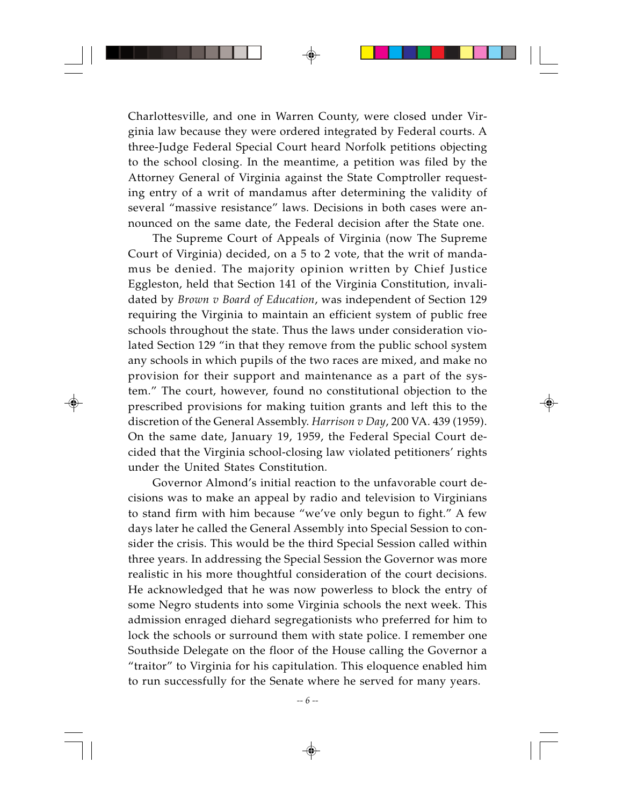Charlottesville, and one in Warren County, were closed under Virginia law because they were ordered integrated by Federal courts. A three-Judge Federal Special Court heard Norfolk petitions objecting to the school closing. In the meantime, a petition was filed by the Attorney General of Virginia against the State Comptroller requesting entry of a writ of mandamus after determining the validity of several "massive resistance" laws. Decisions in both cases were announced on the same date, the Federal decision after the State one.

The Supreme Court of Appeals of Virginia (now The Supreme Court of Virginia) decided, on a 5 to 2 vote, that the writ of mandamus be denied. The majority opinion written by Chief Justice Eggleston, held that Section 141 of the Virginia Constitution, invalidated by *Brown v Board of Education*, was independent of Section 129 requiring the Virginia to maintain an efficient system of public free schools throughout the state. Thus the laws under consideration violated Section 129 "in that they remove from the public school system any schools in which pupils of the two races are mixed, and make no provision for their support and maintenance as a part of the system." The court, however, found no constitutional objection to the prescribed provisions for making tuition grants and left this to the discretion of the General Assembly. *Harrison v Day*, 200 VA. 439 (1959). On the same date, January 19, 1959, the Federal Special Court decided that the Virginia school-closing law violated petitioners' rights under the United States Constitution.

Governor Almond's initial reaction to the unfavorable court decisions was to make an appeal by radio and television to Virginians to stand firm with him because "we've only begun to fight." A few days later he called the General Assembly into Special Session to consider the crisis. This would be the third Special Session called within three years. In addressing the Special Session the Governor was more realistic in his more thoughtful consideration of the court decisions. He acknowledged that he was now powerless to block the entry of some Negro students into some Virginia schools the next week. This admission enraged diehard segregationists who preferred for him to lock the schools or surround them with state police. I remember one Southside Delegate on the floor of the House calling the Governor a "traitor" to Virginia for his capitulation. This eloquence enabled him to run successfully for the Senate where he served for many years.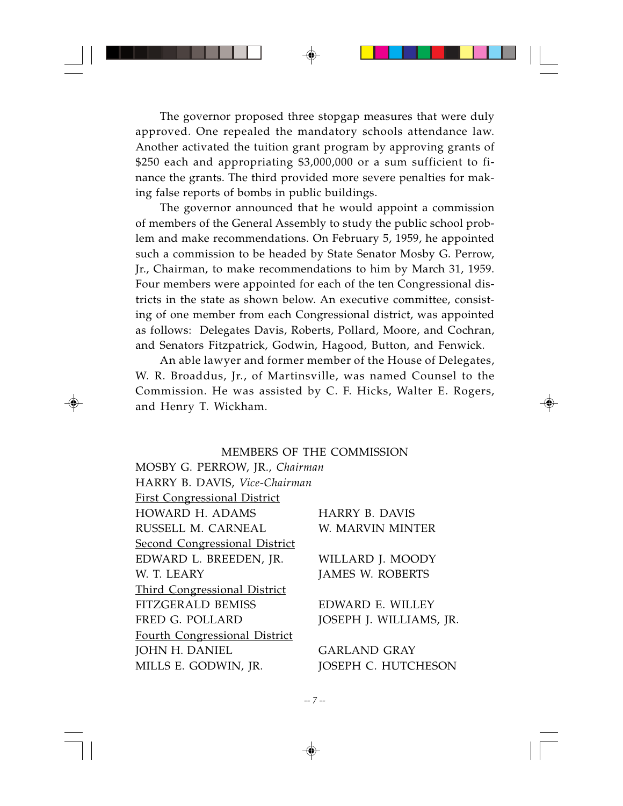The governor proposed three stopgap measures that were duly approved. One repealed the mandatory schools attendance law. Another activated the tuition grant program by approving grants of \$250 each and appropriating \$3,000,000 or a sum sufficient to finance the grants. The third provided more severe penalties for making false reports of bombs in public buildings.

The governor announced that he would appoint a commission of members of the General Assembly to study the public school problem and make recommendations. On February 5, 1959, he appointed such a commission to be headed by State Senator Mosby G. Perrow, Jr., Chairman, to make recommendations to him by March 31, 1959. Four members were appointed for each of the ten Congressional districts in the state as shown below. An executive committee, consisting of one member from each Congressional district, was appointed as follows: Delegates Davis, Roberts, Pollard, Moore, and Cochran, and Senators Fitzpatrick, Godwin, Hagood, Button, and Fenwick.

An able lawyer and former member of the House of Delegates, W. R. Broaddus, Jr., of Martinsville, was named Counsel to the Commission. He was assisted by C. F. Hicks, Walter E. Rogers, and Henry T. Wickham.

### MEMBERS OF THE COMMISSION

MOSBY G. PERROW, JR., *Chairman* HARRY B. DAVIS, *Vice-Chairman* First Congressional District HOWARD H. ADAMS HARRY B. DAVIS RUSSELL M. CARNEAL W. MARVIN MINTER Second Congressional District EDWARD L. BREEDEN, JR. WILLARD J. MOODY W. T. LEARY JAMES W. ROBERTS Third Congressional District FITZGERALD BEMISS EDWARD E. WILLEY FRED G. POLLARD JOSEPH J. WILLIAMS, JR. Fourth Congressional District **JOHN H. DANIEL GARLAND GRAY** MILLS E. GODWIN, JR. JOSEPH C. HUTCHESON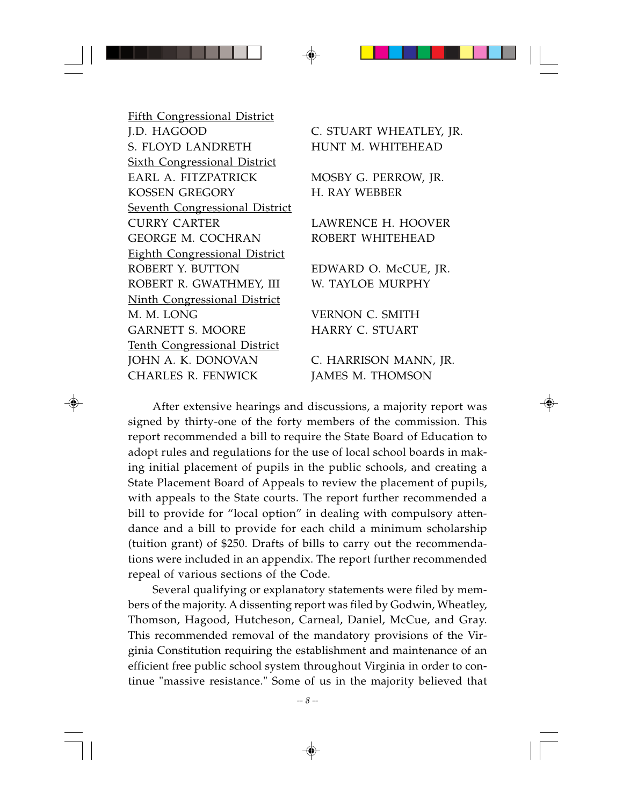Fifth Congressional District J.D. HAGOOD C. STUART WHEATLEY, JR. S. FLOYD LANDRETH HUNT M. WHITEHEAD Sixth Congressional District EARL A. FITZPATRICK MOSBY G. PERROW, JR. KOSSEN GREGORY **H. RAY WEBBER** Seventh Congressional District CURRY CARTER LAWRENCE H. HOOVER GEORGE M. COCHRAN ROBERT WHITEHEAD Eighth Congressional District ROBERT Y. BUTTON EDWARD O. McCUE, JR. ROBERT R. GWATHMEY, III W. TAYLOE MURPHY Ninth Congressional District M. M. LONG VERNON C. SMITH GARNETT S. MOORE HARRY C. STUART Tenth Congressional District JOHN A*.* K. DONOVAN C. HARRISON MANN, JR. CHARLES R. FENWICK JAMES M. THOMSON

After extensive hearings and discussions, a majority report was signed by thirty-one of the forty members of the commission. This report recommended a bill to require the State Board of Education to adopt rules and regulations for the use of local school boards in making initial placement of pupils in the public schools, and creating a State Placement Board of Appeals to review the placement of pupils, with appeals to the State courts. The report further recommended a bill to provide for "local option" in dealing with compulsory attendance and a bill to provide for each child a minimum scholarship (tuition grant) of \$250. Drafts of bills to carry out the recommendations were included in an appendix. The report further recommended repeal of various sections of the Code.

Several qualifying or explanatory statements were filed by members of the majority. A dissenting report was filed by Godwin, Wheatley, Thomson, Hagood, Hutcheson, Carneal, Daniel, McCue, and Gray. This recommended removal of the mandatory provisions of the Virginia Constitution requiring the establishment and maintenance of an efficient free public school system throughout Virginia in order to continue "massive resistance." Some of us in the majority believed that

*-- 8 --*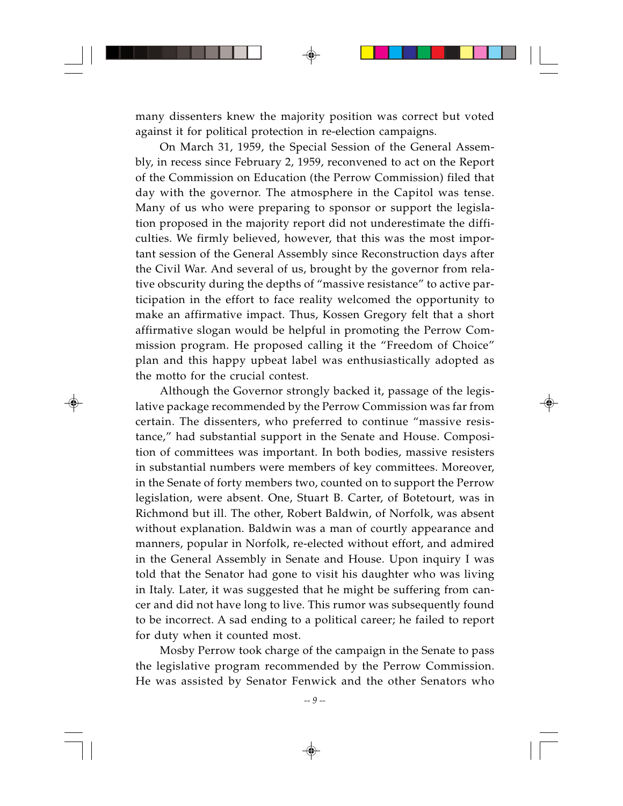many dissenters knew the majority position was correct but voted against it for political protection in re-election campaigns.

On March 31, 1959, the Special Session of the General Assembly, in recess since February 2, 1959, reconvened to act on the Report of the Commission on Education (the Perrow Commission) filed that day with the governor. The atmosphere in the Capitol was tense. Many of us who were preparing to sponsor or support the legislation proposed in the majority report did not underestimate the difficulties. We firmly believed, however, that this was the most important session of the General Assembly since Reconstruction days after the Civil War. And several of us, brought by the governor from relative obscurity during the depths of "massive resistance" to active participation in the effort to face reality welcomed the opportunity to make an affirmative impact. Thus, Kossen Gregory felt that a short affirmative slogan would be helpful in promoting the Perrow Commission program. He proposed calling it the "Freedom of Choice" plan and this happy upbeat label was enthusiastically adopted as the motto for the crucial contest.

Although the Governor strongly backed it, passage of the legislative package recommended by the Perrow Commission was far from certain. The dissenters, who preferred to continue "massive resistance," had substantial support in the Senate and House. Composition of committees was important. In both bodies, massive resisters in substantial numbers were members of key committees. Moreover, in the Senate of forty members two, counted on to support the Perrow legislation, were absent. One, Stuart B. Carter, of Botetourt, was in Richmond but ill. The other, Robert Baldwin, of Norfolk, was absent without explanation. Baldwin was a man of courtly appearance and manners, popular in Norfolk, re-elected without effort, and admired in the General Assembly in Senate and House. Upon inquiry I was told that the Senator had gone to visit his daughter who was living in Italy. Later, it was suggested that he might be suffering from cancer and did not have long to live. This rumor was subsequently found to be incorrect. A sad ending to a political career; he failed to report for duty when it counted most.

Mosby Perrow took charge of the campaign in the Senate to pass the legislative program recommended by the Perrow Commission. He was assisted by Senator Fenwick and the other Senators who

*-- 9 --*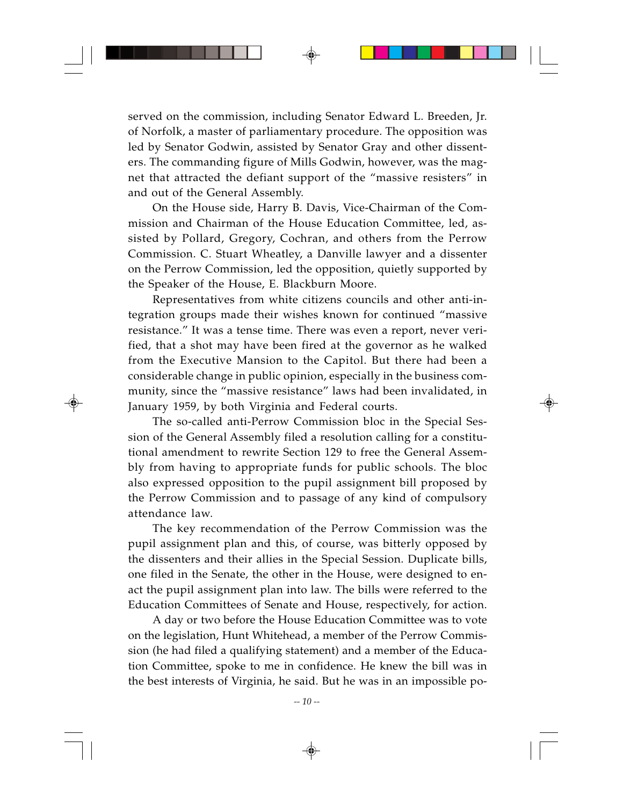served on the commission, including Senator Edward L. Breeden, Jr. of Norfolk, a master of parliamentary procedure. The opposition was led by Senator Godwin, assisted by Senator Gray and other dissenters. The commanding figure of Mills Godwin, however, was the magnet that attracted the defiant support of the "massive resisters" in and out of the General Assembly.

On the House side, Harry B. Davis, Vice-Chairman of the Commission and Chairman of the House Education Committee, led, assisted by Pollard, Gregory, Cochran, and others from the Perrow Commission. C. Stuart Wheatley, a Danville lawyer and a dissenter on the Perrow Commission, led the opposition, quietly supported by the Speaker of the House, E. Blackburn Moore.

Representatives from white citizens councils and other anti-integration groups made their wishes known for continued "massive resistance." It was a tense time. There was even a report, never verified, that a shot may have been fired at the governor as he walked from the Executive Mansion to the Capitol. But there had been a considerable change in public opinion, especially in the business community, since the "massive resistance" laws had been invalidated, in January 1959, by both Virginia and Federal courts.

The so-called anti-Perrow Commission bloc in the Special Session of the General Assembly filed a resolution calling for a constitutional amendment to rewrite Section 129 to free the General Assembly from having to appropriate funds for public schools. The bloc also expressed opposition to the pupil assignment bill proposed by the Perrow Commission and to passage of any kind of compulsory attendance law.

The key recommendation of the Perrow Commission was the pupil assignment plan and this, of course, was bitterly opposed by the dissenters and their allies in the Special Session. Duplicate bills, one filed in the Senate, the other in the House, were designed to enact the pupil assignment plan into law. The bills were referred to the Education Committees of Senate and House, respectively, for action.

A day or two before the House Education Committee was to vote on the legislation, Hunt Whitehead, a member of the Perrow Commission (he had filed a qualifying statement) and a member of the Education Committee, spoke to me in confidence. He knew the bill was in the best interests of Virginia, he said. But he was in an impossible po-

*-- 10 --*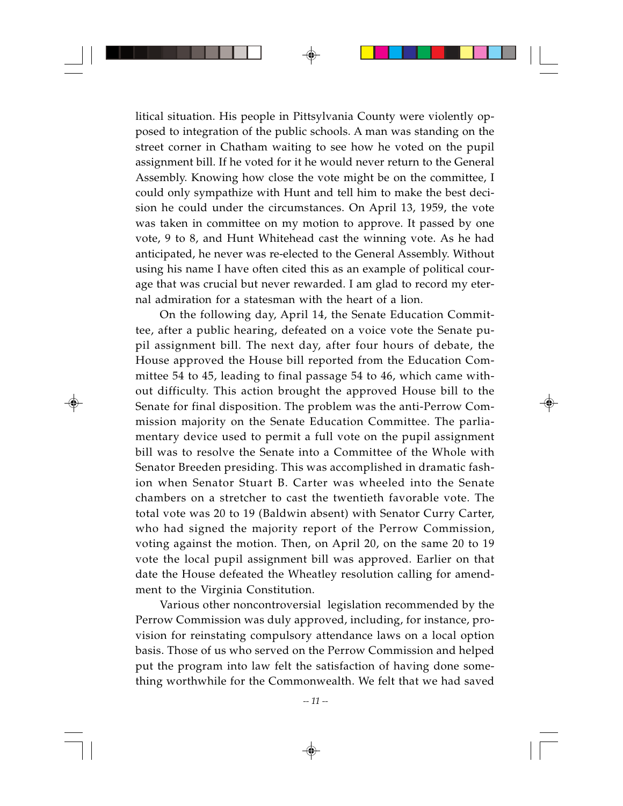litical situation. His people in Pittsylvania County were violently opposed to integration of the public schools. A man was standing on the street corner in Chatham waiting to see how he voted on the pupil assignment bill. If he voted for it he would never return to the General Assembly. Knowing how close the vote might be on the committee, I could only sympathize with Hunt and tell him to make the best decision he could under the circumstances. On April 13, 1959, the vote was taken in committee on my motion to approve. It passed by one vote, 9 to 8, and Hunt Whitehead cast the winning vote. As he had anticipated, he never was re-elected to the General Assembly. Without using his name I have often cited this as an example of political courage that was crucial but never rewarded. I am glad to record my eternal admiration for a statesman with the heart of a lion.

On the following day, April 14, the Senate Education Committee, after a public hearing, defeated on a voice vote the Senate pupil assignment bill. The next day, after four hours of debate, the House approved the House bill reported from the Education Committee 54 to 45, leading to final passage 54 to 46, which came without difficulty. This action brought the approved House bill to the Senate for final disposition. The problem was the anti-Perrow Commission majority on the Senate Education Committee. The parliamentary device used to permit a full vote on the pupil assignment bill was to resolve the Senate into a Committee of the Whole with Senator Breeden presiding. This was accomplished in dramatic fashion when Senator Stuart B. Carter was wheeled into the Senate chambers on a stretcher to cast the twentieth favorable vote. The total vote was 20 to 19 (Baldwin absent) with Senator Curry Carter, who had signed the majority report of the Perrow Commission, voting against the motion. Then, on April 20, on the same 20 to 19 vote the local pupil assignment bill was approved. Earlier on that date the House defeated the Wheatley resolution calling for amendment to the Virginia Constitution.

Various other noncontroversial legislation recommended by the Perrow Commission was duly approved, including, for instance, provision for reinstating compulsory attendance laws on a local option basis. Those of us who served on the Perrow Commission and helped put the program into law felt the satisfaction of having done something worthwhile for the Commonwealth. We felt that we had saved

*-- 11 --*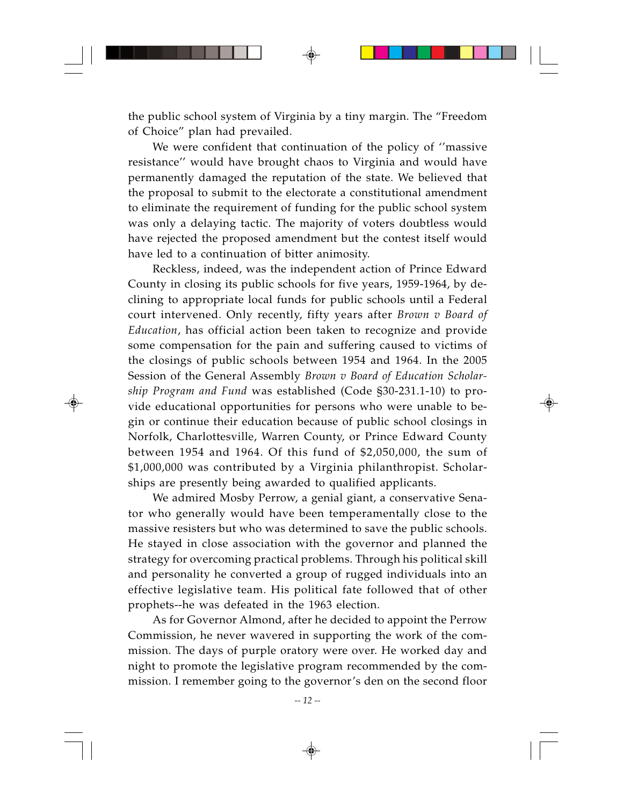the public school system of Virginia by a tiny margin. The "Freedom of Choice" plan had prevailed.

We were confident that continuation of the policy of ''massive resistance'' would have brought chaos to Virginia and would have permanently damaged the reputation of the state. We believed that the proposal to submit to the electorate a constitutional amendment to eliminate the requirement of funding for the public school system was only a delaying tactic. The majority of voters doubtless would have rejected the proposed amendment but the contest itself would have led to a continuation of bitter animosity.

Reckless, indeed, was the independent action of Prince Edward County in closing its public schools for five years, 1959-1964, by declining to appropriate local funds for public schools until a Federal court intervened. Only recently, fifty years after *Brown v Board of Education*, has official action been taken to recognize and provide some compensation for the pain and suffering caused to victims of the closings of public schools between 1954 and 1964. In the 2005 Session of the General Assembly *Brown v Board of Education Scholarship Program and Fund* was established (Code §30-231.1-10) to provide educational opportunities for persons who were unable to begin or continue their education because of public school closings in Norfolk, Charlottesville, Warren County, or Prince Edward County between 1954 and 1964. Of this fund of \$2,050,000, the sum of \$1,000,000 was contributed by a Virginia philanthropist. Scholarships are presently being awarded to qualified applicants.

We admired Mosby Perrow, a genial giant, a conservative Senator who generally would have been temperamentally close to the massive resisters but who was determined to save the public schools. He stayed in close association with the governor and planned the strategy for overcoming practical problems. Through his political skill and personality he converted a group of rugged individuals into an effective legislative team. His political fate followed that of other prophets--he was defeated in the 1963 election.

As for Governor Almond, after he decided to appoint the Perrow Commission, he never wavered in supporting the work of the commission. The days of purple oratory were over. He worked day and night to promote the legislative program recommended by the commission. I remember going to the governor's den on the second floor